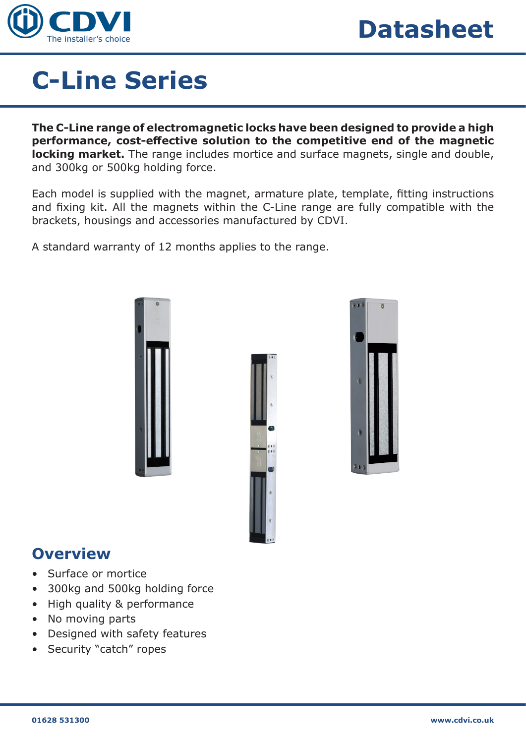

# **C-Line Series**

**The C-Line range of electromagnetic locks have been designed to provide a high performance, cost-effective solution to the competitive end of the magnetic locking market.** The range includes mortice and surface magnets, single and double, and 300kg or 500kg holding force.

Each model is supplied with the magnet, armature plate, template, fitting instructions and fixing kit. All the magnets within the C-Line range are fully compatible with the brackets, housings and accessories manufactured by CDVI.

A standard warranty of 12 months applies to the range.







### **Overview**

- Surface or mortice
- 300kg and 500kg holding force
- High quality & performance
- No moving parts
- Designed with safety features
- Security "catch" ropes